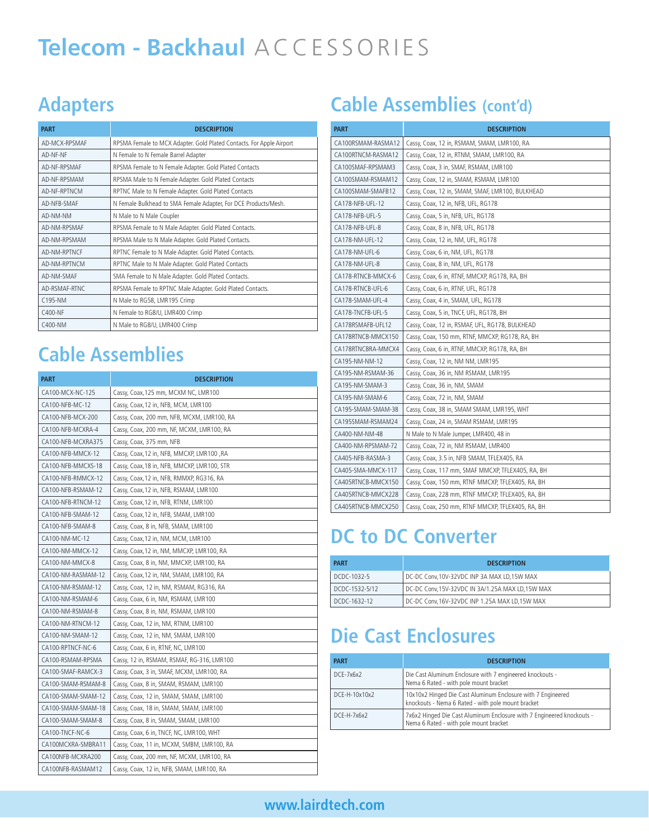# **Telecom - Backhaul** ACCESSORIES

## **Adapters**

| <b>PART</b>   | <b>DESCRIPTION</b>                                                   |
|---------------|----------------------------------------------------------------------|
| AD-MCX-RPSMAF | RPSMA Female to MCX Adapter. Gold Plated Contacts. For Apple Airport |
| AD-NF-NF      | N Female to N Female Barrel Adapter                                  |
| AD-NF-RPSMAF  | RPSMA Female to N Female Adapter. Gold Plated Contacts               |
| AD-NF-RPSMAM  | RPSMA Male to N Female Adapter. Gold Plated Contacts                 |
| AD-NF-RPTNCM  | RPTNC Male to N Female Adapter. Gold Plated Contacts                 |
| AD-NFB-SMAF   | N Female Bulkhead to SMA Female Adapter, For DCE Products/Mesh.      |
| AD-NM-NM      | N Male to N Male Coupler                                             |
| AD-NM-RPSMAF  | RPSMA Female to N Male Adapter. Gold Plated Contacts.                |
| AD-NM-RPSMAM  | RPSMA Male to N Male Adapter. Gold Plated Contacts.                  |
| AD-NM-RPTNCF  | RPTNC Female to N Male Adapter. Gold Plated Contacts.                |
| AD-NM-RPTNCM  | RPTNC Male to N Male Adapter. Gold Plated Contacts                   |
| AD-NM-SMAF    | SMA Female to N Male Adapter. Gold Plated Contacts.                  |
| AD-RSMAF-RTNC | RPSMA Female to RPTNC Male Adapter. Gold Plated Contacts.            |
| C195-NM       | N Male to RG58, LMR195 Crimp                                         |
| $C400-NF$     | N Female to RG8/U, LMR400 Crimp                                      |
| C400-NM       | N Male to RG8/U, LMR400 Crimp                                        |

# **Cable Assemblies**

| <b>PART</b>        | <b>DESCRIPTION</b>                          |
|--------------------|---------------------------------------------|
| CA100-MCX-NC-125   | Cassy, Coax, 125 mm, MCXM NC, LMR100        |
| CA100-NFB-MC-12    | Cassy, Coax, 12 in, NFB, MCM, LMR100        |
| CA100-NFB-MCX-200  | Cassy, Coax, 200 mm, NFB, MCXM, LMR100, RA  |
| CA100-NFB-MCXRA-4  | Cassy, Coax, 200 mm, NF, MCXM, LMR100, RA   |
| CA100-NFB-MCXRA375 | Cassy, Coax, 375 mm, NFB                    |
| CA100-NFB-MMCX-12  | Cassy, Coax, 12 in, NFB, MMCXP, LMR100, RA  |
| CA100-NFB-MMCXS-18 | Cassy, Coax, 18 in, NFB, MMCXP, LMR100, STR |
| CA100-NFB-RMMCX-12 | Cassy, Coax, 12 in, NFB, RMMXP, RG316, RA   |
| CA100-NFB-RSMAM-12 | Cassy, Coax, 12 in, NFB, RSMAM, LMR100      |
| CA100-NFB-RTNCM-12 | Cassy, Coax, 12 in, NFB, RTNM, LMR100       |
| CA100-NFB-SMAM-12  | Cassy, Coax, 12 in, NFB, SMAM, LMR100       |
| CA100-NFB-SMAM-8   | Cassy, Coax, 8 in, NFB, SMAM, LMR100        |
| CA100-NM-MC-12     | Cassy, Coax, 12 in, NM, MCM, LMR100         |
| CA100-NM-MMCX-12   | Cassy, Coax, 12 in, NM, MMCXP, LMR100, RA   |
| CA100-NM-MMCX-8    | Cassy, Coax, 8 in, NM, MMCXP, LMR100, RA    |
| CA100-NM-RASMAM-12 | Cassy, Coax, 12 in, NM, SMAM, LMR100, RA    |
| CA100-NM-RSMAM-12  | Cassy, Coax, 12 in, NM, RSMAM, RG316, RA    |
| CA100-NM-RSMAM-6   | Cassy, Coax, 6 in, NM, RSMAM, LMR100        |
| CA100-NM-RSMAM-8   | Cassy, Coax, 8 in, NM, RSMAM, LMR100        |
| CA100-NM-RTNCM-12  | Cassy, Coax, 12 in, NM, RTNM, LMR100        |
| CA100-NM-SMAM-12   | Cassy, Coax, 12 in, NM, SMAM, LMR100        |
| CA100-RPTNCF-NC-6  | Cassy, Coax, 6 in, RTNF, NC, LMR100         |
| CA100-RSMAM-RPSMA  | Cassy, 12 in, RSMAM, RSMAF, RG-316, LMR100  |
| CA100-SMAF-RAMCX-3 | Cassy, Coax, 3 in, SMAF, MCXM, LMR100, RA   |
| CA100-SMAM-RSMAM-8 | Cassy, Coax, 8 in, SMAM, RSMAM, LMR100      |
| CA100-SMAM-SMAM-12 | Cassy, Coax, 12 in, SMAM, SMAM, LMR100      |
| CA100-SMAM-SMAM-18 | Cassy, Coax, 18 in, SMAM, SMAM, LMR100      |
| CA100-SMAM-SMAM-8  | Cassy, Coax, 8 in, SMAM, SMAM, LMR100       |
| CA100-TNCF-NC-6    | Cassy, Coax, 6 in, TNCF, NC, LMR100, WHT    |
| CA100MCXRA-SMBRA11 | Cassy, Coax, 11 in, MCXM, SMBM, LMR100, RA  |
| CA100NFB-MCXRA200  | Cassy, Coax, 200 mm, NF, MCXM, LMR100, RA   |
| CA100NFB-RASMAM12  | Cassy, Coax, 12 in, NFB, SMAM, LMR100, RA   |

# **Cable Assemblies (cont'd)**

| <b>PART</b>        | <b>DESCRIPTION</b>                                |
|--------------------|---------------------------------------------------|
| CA100RSMAM-RASMA12 | Cassy, Coax, 12 in, RSMAM, SMAM, LMR100, RA       |
| CA100RTNCM-RASMA12 | Cassy, Coax, 12 in, RTNM, SMAM, LMR100, RA        |
| CA100SMAF-RPSMAM3  | Cassy, Coax, 3 in, SMAF, RSMAM, LMR100            |
| CA100SMAM-RSMAM12  | Cassy, Coax, 12 in, SMAM, RSMAM, LMR100           |
| CA100SMAM-SMAFB12  | Cassy, Coax, 12 in, SMAM, SMAF, LMR100, BULKHEAD  |
| CA178-NFB-UFL-12   | Cassy, Coax, 12 in, NFB, UFL, RG178               |
| CA178-NFB-UFL-5    | Cassy, Coax, 5 in, NFB, UFL, RG178                |
| CA178-NFB-UFL-8    | Cassy, Coax, 8 in, NFB, UFL, RG178                |
| CA178-NM-UFL-12    | Cassy, Coax, 12 in, NM, UFL, RG178                |
| CA178-NM-UFL-6     | Cassy, Coax, 6 in, NM, UFL, RG178                 |
| CA178-NM-UFL-8     | Cassy, Coax, 8 in, NM, UFL, RG178                 |
| CA178-RTNCB-MMCX-6 | Cassy, Coax, 6 in, RTNF, MMCXP, RG178, RA, BH     |
| CA178-RTNCB-UFL-6  | Cassy, Coax, 6 in, RTNF, UFL, RG178               |
| CA178-SMAM-UFL-4   | Cassy, Coax, 4 in, SMAM, UFL, RG178               |
| CA178-TNCFB-UFL-5  | Cassy, Coax, 5 in, TNCF, UFL, RG178, BH           |
| CA178RSMAFB-UFL12  | Cassy, Coax, 12 in, RSMAF, UFL, RG178, BULKHEAD   |
| CA178RTNCB-MMCX150 | Cassy, Coax, 150 mm, RTNF, MMCXP, RG178, RA, BH   |
| CA178RTNCBRA-MMCX4 | Cassy, Coax, 6 in, RTNF, MMCXP, RG178, RA, BH     |
| CA195-NM-NM-12     | Cassy, Coax, 12 in, NM NM, LMR195                 |
| CA195-NM-RSMAM-36  | Cassy, Coax, 36 in, NM RSMAM, LMR195              |
| CA195-NM-SMAM-3    | Cassy, Coax, 36 in, NM, SMAM                      |
| CA195-NM-SMAM-6    | Cassy, Coax, 72 in, NM, SMAM                      |
| CA195-SMAM-SMAM-38 | Cassy, Coax, 38 in, SMAM SMAM, LMR195, WHT        |
| CA195SMAM-RSMAM24  | Cassy, Coax, 24 in, SMAM RSMAM, LMR195            |
| CA400-NM-NM-48     | N Male to N Male Jumper, LMR400, 48 in            |
| CA400-NM-RPSMAM-72 | Cassy, Coax, 72 in, NM RSMAM, LMR400              |
| CA405-NFB-RASMA-3  | Cassy, Coax, 3.5 in, NFB SMAM, TFLEX405, RA       |
| CA405-SMA-MMCX-117 | Cassy, Coax, 117 mm, SMAF MMCXP, TFLEX405, RA, BH |
| CA405RTNCB-MMCX150 | Cassy, Coax, 150 mm, RTNF MMCXP, TFLEX405, RA, BH |
| CA405RTNCB-MMCX228 | Cassy, Coax, 228 mm, RTNF MMCXP, TFLEX405, RA, BH |
| CA405RTNCB-MMCX250 | Cassy, Coax, 250 mm, RTNF MMCXP, TFLEX405, RA, BH |

### **DC to DC Converter**

| <b>PART</b>    | <b>DESCRIPTION</b>                                |
|----------------|---------------------------------------------------|
| DCDC-1032-5    | DC-DC Conv.10V-32VDC INP 3A MAX LD.15W MAX        |
| DCDC-1532-5/12 | DC-DC Conv, 15V-32VDC IN 3A/1.25A MAX LD, 15W MAX |
| DCDC-1632-12   | DC-DC Conv, 16V-32VDC INP 1.25A MAX LD, 15W MAX   |

# **Die Cast Enclosures**

| <b>PART</b>            | <b>DESCRIPTION</b>                                                                                                 |
|------------------------|--------------------------------------------------------------------------------------------------------------------|
| DCE-7x6x2              | Die Cast Aluminum Enclosure with 7 engineered knockouts -<br>Nema 6 Rated - with pole mount bracket                |
| DCE-H-10x10x2          | 10x10x2 Hinged Die Cast Aluminum Enclosure with 7 Engineered<br>knockouts - Nema 6 Rated - with pole mount bracket |
| $D$ CE-H-7 $x$ 6 $x$ 2 | 7x6x2 Hinged Die Cast Aluminum Enclosure with 7 Engineered knockouts -<br>Nema 6 Rated - with pole mount bracket   |